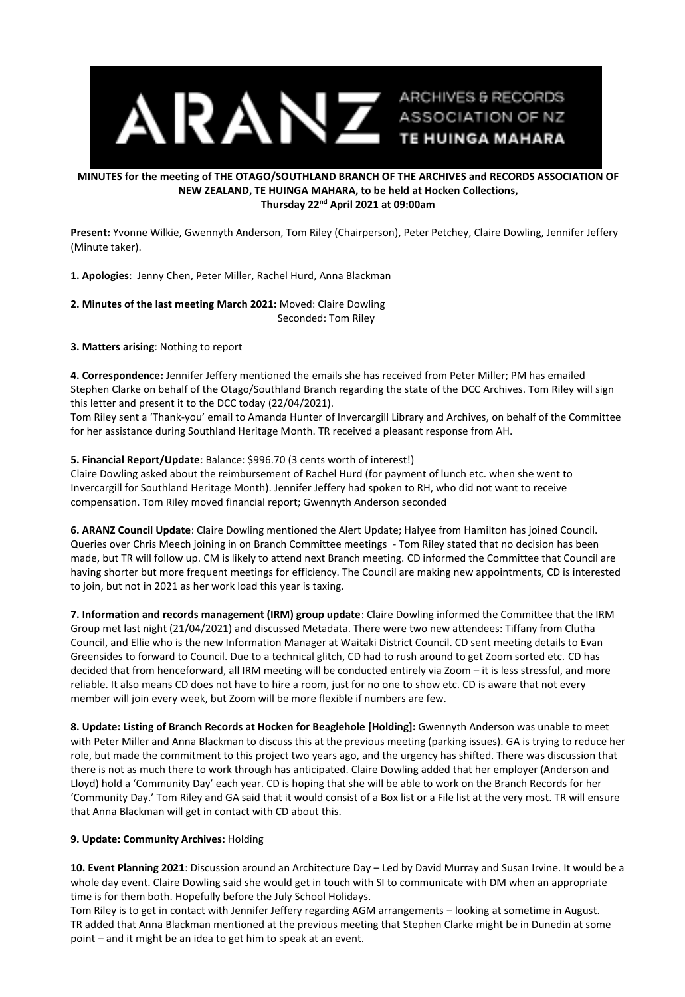

## **MINUTES for the meeting of THE OTAGO/SOUTHLAND BRANCH OF THE ARCHIVES and RECORDS ASSOCIATION OF NEW ZEALAND, TE HUINGA MAHARA, to be held at Hocken Collections, Thursday 22nd April 2021 at 09:00am**

**Present:** Yvonne Wilkie, Gwennyth Anderson, Tom Riley (Chairperson), Peter Petchey, Claire Dowling, Jennifer Jeffery (Minute taker).

**1. Apologies**: Jenny Chen, Peter Miller, Rachel Hurd, Anna Blackman

**2. Minutes of the last meeting March 2021:** Moved: Claire Dowling Seconded: Tom Riley

**3. Matters arising**: Nothing to report

**4. Correspondence:** Jennifer Jeffery mentioned the emails she has received from Peter Miller; PM has emailed Stephen Clarke on behalf of the Otago/Southland Branch regarding the state of the DCC Archives. Tom Riley will sign this letter and present it to the DCC today (22/04/2021).

Tom Riley sent a 'Thank-you' email to Amanda Hunter of Invercargill Library and Archives, on behalf of the Committee for her assistance during Southland Heritage Month. TR received a pleasant response from AH.

## **5. Financial Report/Update**: Balance: \$996.70 (3 cents worth of interest!)

Claire Dowling asked about the reimbursement of Rachel Hurd (for payment of lunch etc. when she went to Invercargill for Southland Heritage Month). Jennifer Jeffery had spoken to RH, who did not want to receive compensation. Tom Riley moved financial report; Gwennyth Anderson seconded

**6. ARANZ Council Update**: Claire Dowling mentioned the Alert Update; Halyee from Hamilton has joined Council. Queries over Chris Meech joining in on Branch Committee meetings - Tom Riley stated that no decision has been made, but TR will follow up. CM is likely to attend next Branch meeting. CD informed the Committee that Council are having shorter but more frequent meetings for efficiency. The Council are making new appointments, CD is interested to join, but not in 2021 as her work load this year is taxing.

**7. Information and records management (IRM) group update**: Claire Dowling informed the Committee that the IRM Group met last night (21/04/2021) and discussed Metadata. There were two new attendees: Tiffany from Clutha Council, and Ellie who is the new Information Manager at Waitaki District Council. CD sent meeting details to Evan Greensides to forward to Council. Due to a technical glitch, CD had to rush around to get Zoom sorted etc. CD has decided that from henceforward, all IRM meeting will be conducted entirely via Zoom – it is less stressful, and more reliable. It also means CD does not have to hire a room, just for no one to show etc. CD is aware that not every member will join every week, but Zoom will be more flexible if numbers are few.

**8. Update: Listing of Branch Records at Hocken for Beaglehole [Holding]:** Gwennyth Anderson was unable to meet with Peter Miller and Anna Blackman to discuss this at the previous meeting (parking issues). GA is trying to reduce her role, but made the commitment to this project two years ago, and the urgency has shifted. There was discussion that there is not as much there to work through has anticipated. Claire Dowling added that her employer (Anderson and Lloyd) hold a 'Community Day' each year. CD is hoping that she will be able to work on the Branch Records for her 'Community Day.' Tom Riley and GA said that it would consist of a Box list or a File list at the very most. TR will ensure that Anna Blackman will get in contact with CD about this.

## **9. Update: Community Archives:** Holding

**10. Event Planning 2021**: Discussion around an Architecture Day – Led by David Murray and Susan Irvine. It would be a whole day event. Claire Dowling said she would get in touch with SI to communicate with DM when an appropriate time is for them both. Hopefully before the July School Holidays.

Tom Riley is to get in contact with Jennifer Jeffery regarding AGM arrangements – looking at sometime in August. TR added that Anna Blackman mentioned at the previous meeting that Stephen Clarke might be in Dunedin at some point – and it might be an idea to get him to speak at an event.